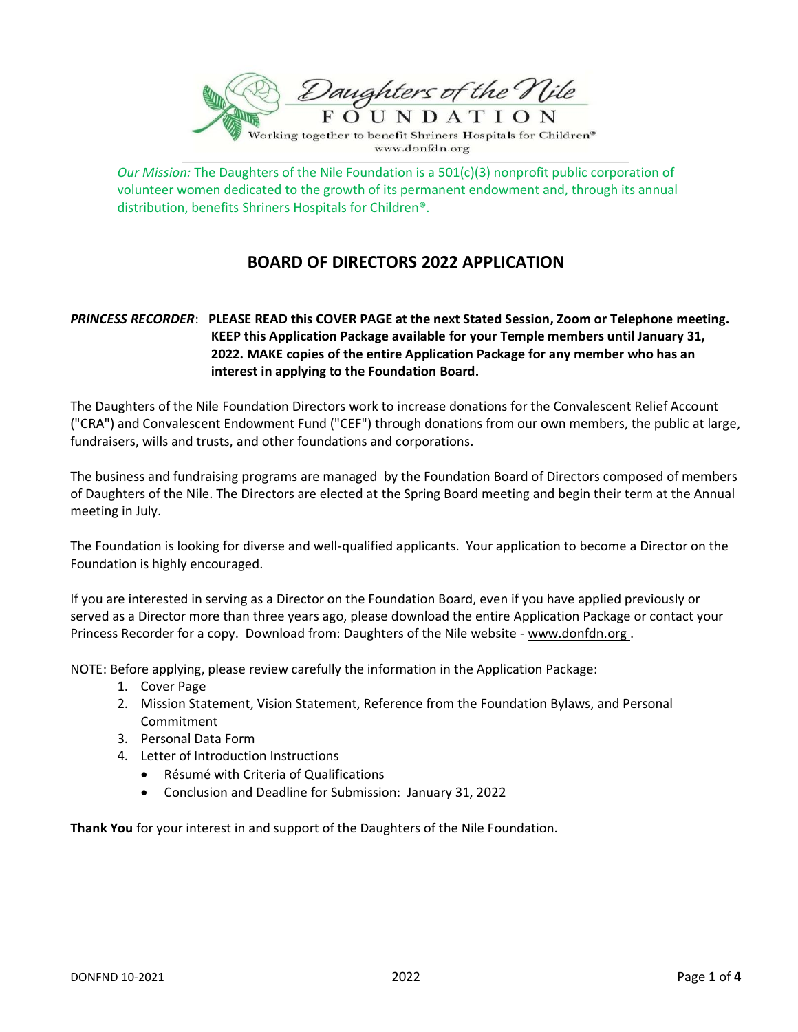

*Our Mission:* The Daughters of the Nile Foundation is a 501(c)(3) nonprofit public corporation of volunteer women dedicated to the growth of its permanent endowment and, through its annual distribution, benefits Shriners Hospitals for Children®.

www.donfdn.org

# **BOARD OF DIRECTORS 2022 APPLICATION**

## *PRINCESS RECORDER*: **PLEASE READ this COVER PAGE at the next Stated Session, Zoom or Telephone meeting. KEEP this Application Package available for your Temple members until January 31, 2022. MAKE copies of the entire Application Package for any member who has an interest in applying to the Foundation Board.**

The Daughters of the Nile Foundation Directors work to increase donations for the Convalescent Relief Account ("CRA") and Convalescent Endowment Fund ("CEF") through donations from our own members, the public at large, fundraisers, wills and trusts, and other foundations and corporations.

The business and fundraising programs are managed by the Foundation Board of Directors composed of members of Daughters of the Nile. The Directors are elected at the Spring Board meeting and begin their term at the Annual meeting in July.

The Foundation is looking for diverse and well-qualified applicants. Your application to become a Director on the Foundation is highly encouraged.

If you are interested in serving as a Director on the Foundation Board, even if you have applied previously or served as a Director more than three years ago, please download the entire Application Package or contact your Princess Recorder for a copy. Download from: Daughters of the Nile website - www.donfdn.org .

NOTE: Before applying, please review carefully the information in the Application Package:

- 1. Cover Page
- 2. Mission Statement, Vision Statement, Reference from the Foundation Bylaws, and Personal Commitment
- 3. Personal Data Form
- 4. Letter of Introduction Instructions
	- Résumé with Criteria of Qualifications
	- Conclusion and Deadline for Submission: January 31, 2022

**Thank You** for your interest in and support of the Daughters of the Nile Foundation.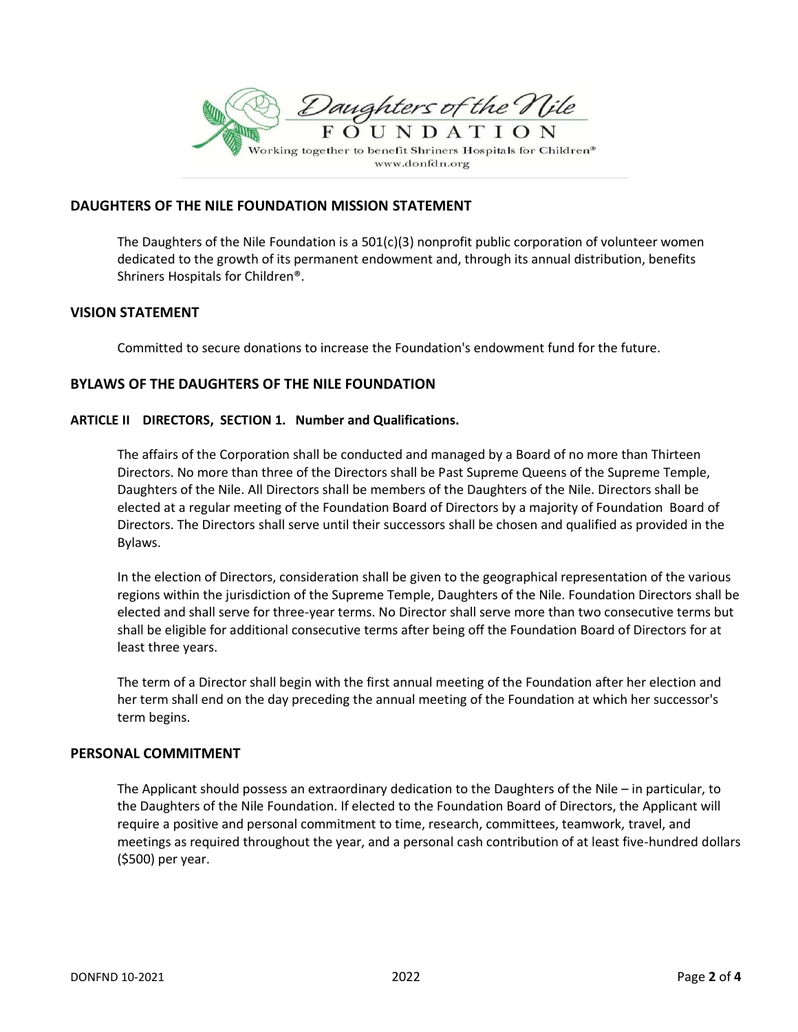

#### **DAUGHTERS OF THE NILE FOUNDATION MISSION STATEMENT**

The Daughters of the Nile Foundation is a 501(c)(3) nonprofit public corporation of volunteer women dedicated to the growth of its permanent endowment and, through its annual distribution, benefits Shriners Hospitals for Children®.

## **VISION STATEMENT**

Committed to secure donations to increase the Foundation's endowment fund for the future.

## **BYLAWS OF THE DAUGHTERS OF THE NILE FOUNDATION**

#### **ARTICLE II DIRECTORS, SECTION 1. Number and Qualifications.**

The affairs of the Corporation shall be conducted and managed by a Board of no more than Thirteen Directors. No more than three of the Directors shall be Past Supreme Queens of the Supreme Temple, Daughters of the Nile. All Directors shall be members of the Daughters of the Nile. Directors shall be elected at a regular meeting of the Foundation Board of Directors by a majority of Foundation Board of Directors. The Directors shall serve until their successors shall be chosen and qualified as provided in the Bylaws.

In the election of Directors, consideration shall be given to the geographical representation of the various regions within the jurisdiction of the Supreme Temple, Daughters of the Nile. Foundation Directors shall be elected and shall serve for three-year terms. No Director shall serve more than two consecutive terms but shall be eligible for additional consecutive terms after being off the Foundation Board of Directors for at least three years.

The term of a Director shall begin with the first annual meeting of the Foundation after her election and her term shall end on the day preceding the annual meeting of the Foundation at which her successor's term begins.

#### **PERSONAL COMMITMENT**

The Applicant should possess an extraordinary dedication to the Daughters of the Nile – in particular, to the Daughters of the Nile Foundation. If elected to the Foundation Board of Directors, the Applicant will require a positive and personal commitment to time, research, committees, teamwork, travel, and meetings as required throughout the year, and a personal cash contribution of at least five-hundred dollars (\$500) per year.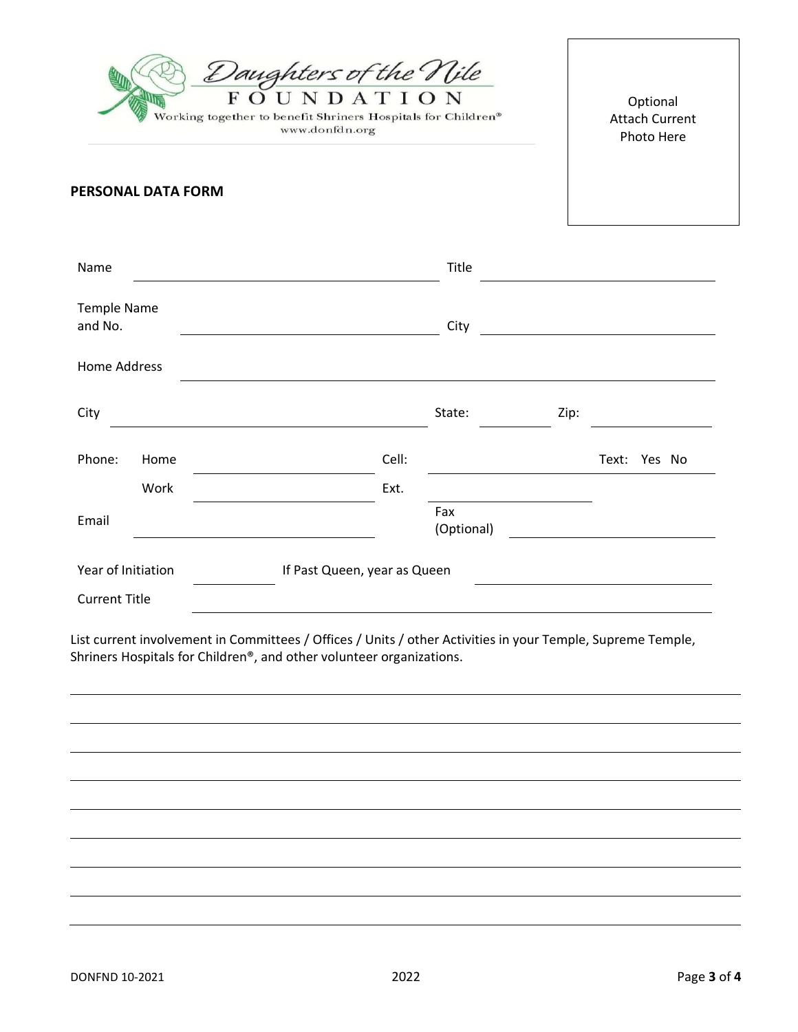| Daughters of the Nile<br>FOUNDATION<br>Working together to benefit Shriners Hospitals for Children®<br>www.donfdn.org                                                               |                           |  |       |                   |  | Optional<br><b>Attach Current</b><br>Photo Here |  |
|-------------------------------------------------------------------------------------------------------------------------------------------------------------------------------------|---------------------------|--|-------|-------------------|--|-------------------------------------------------|--|
|                                                                                                                                                                                     | <b>PERSONAL DATA FORM</b> |  |       |                   |  |                                                 |  |
| Name                                                                                                                                                                                |                           |  |       | Title             |  |                                                 |  |
| <b>Temple Name</b><br>and No.                                                                                                                                                       |                           |  |       | City              |  |                                                 |  |
| <b>Home Address</b>                                                                                                                                                                 |                           |  |       |                   |  |                                                 |  |
| City                                                                                                                                                                                |                           |  |       | State:            |  | Zip:                                            |  |
| Phone:                                                                                                                                                                              | Home                      |  | Cell: |                   |  | Text: Yes No                                    |  |
|                                                                                                                                                                                     | Work                      |  | Ext.  |                   |  |                                                 |  |
| Email                                                                                                                                                                               |                           |  |       | Fax<br>(Optional) |  |                                                 |  |
| Year of Initiation<br>If Past Queen, year as Queen                                                                                                                                  |                           |  |       |                   |  |                                                 |  |
| <b>Current Title</b>                                                                                                                                                                |                           |  |       |                   |  |                                                 |  |
| List current involvement in Committees / Offices / Units / other Activities in your Temple, Supreme Temple,<br>Shriners Hospitals for Children®, and other volunteer organizations. |                           |  |       |                   |  |                                                 |  |
|                                                                                                                                                                                     |                           |  |       |                   |  |                                                 |  |